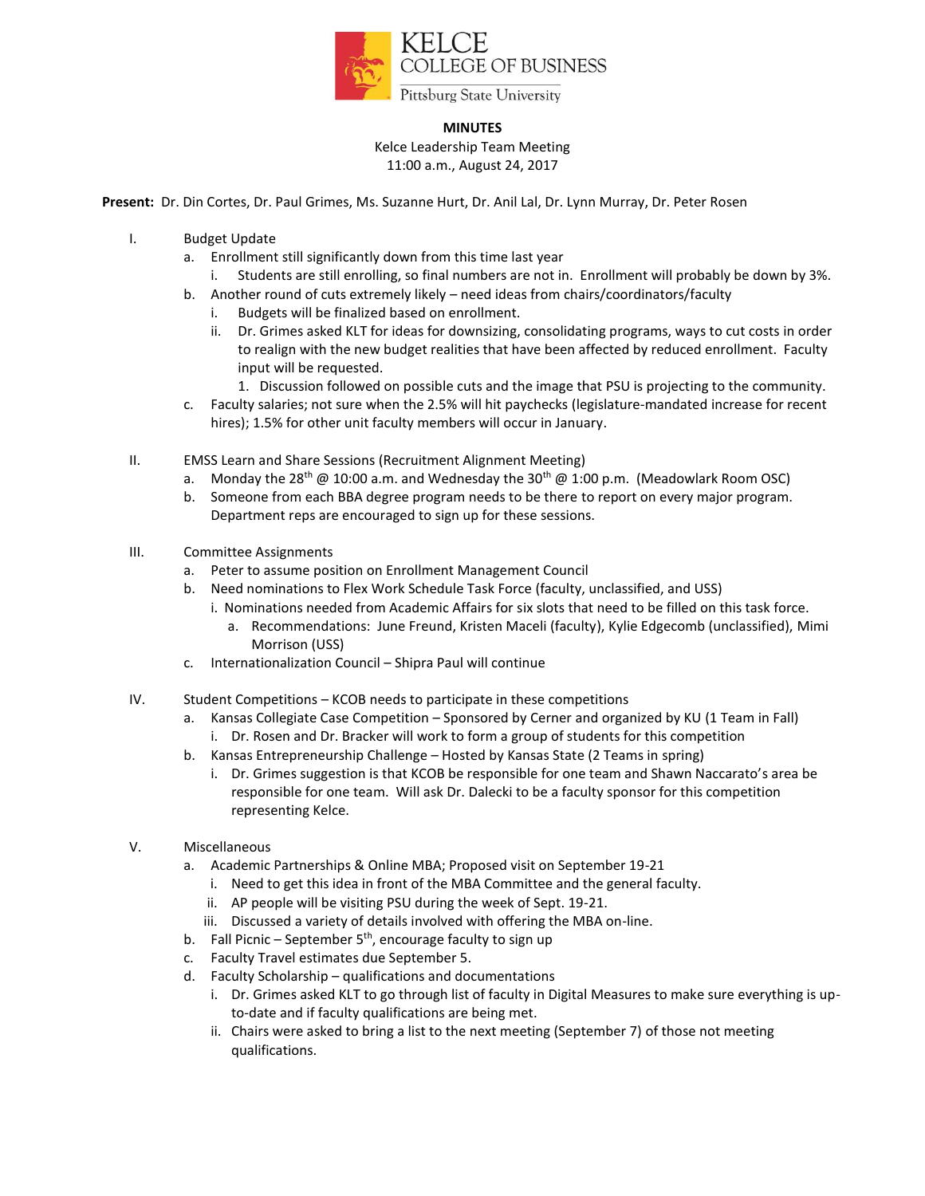

## **MINUTES**

Kelce Leadership Team Meeting 11:00 a.m., August 24, 2017

**Present:** Dr. Din Cortes, Dr. Paul Grimes, Ms. Suzanne Hurt, Dr. Anil Lal, Dr. Lynn Murray, Dr. Peter Rosen

- I. Budget Update
	- a. Enrollment still significantly down from this time last year
		- i. Students are still enrolling, so final numbers are not in. Enrollment will probably be down by 3%.
	- b. Another round of cuts extremely likely need ideas from chairs/coordinators/faculty
		- i. Budgets will be finalized based on enrollment.
		- ii. Dr. Grimes asked KLT for ideas for downsizing, consolidating programs, ways to cut costs in order to realign with the new budget realities that have been affected by reduced enrollment. Faculty input will be requested.
			- 1. Discussion followed on possible cuts and the image that PSU is projecting to the community.
	- c. Faculty salaries; not sure when the 2.5% will hit paychecks (legislature-mandated increase for recent hires); 1.5% for other unit faculty members will occur in January.
- II. EMSS Learn and Share Sessions (Recruitment Alignment Meeting)
	- a. Monday the 28<sup>th</sup> @ 10:00 a.m. and Wednesday the 30<sup>th</sup> @ 1:00 p.m. (Meadowlark Room OSC)
	- b. Someone from each BBA degree program needs to be there to report on every major program. Department reps are encouraged to sign up for these sessions.
- III. Committee Assignments
	- a. Peter to assume position on Enrollment Management Council
	- b. Need nominations to Flex Work Schedule Task Force (faculty, unclassified, and USS)
		- i. Nominations needed from Academic Affairs for six slots that need to be filled on this task force.
			- a. Recommendations: June Freund, Kristen Maceli (faculty), Kylie Edgecomb (unclassified), Mimi Morrison (USS)
	- c. Internationalization Council Shipra Paul will continue
- IV. Student Competitions KCOB needs to participate in these competitions
	- a. Kansas Collegiate Case Competition Sponsored by Cerner and organized by KU (1 Team in Fall)
		- i. Dr. Rosen and Dr. Bracker will work to form a group of students for this competition
	- b. Kansas Entrepreneurship Challenge Hosted by Kansas State (2 Teams in spring)
		- i. Dr. Grimes suggestion is that KCOB be responsible for one team and Shawn Naccarato's area be responsible for one team. Will ask Dr. Dalecki to be a faculty sponsor for this competition representing Kelce.
- V. Miscellaneous
	- a. Academic Partnerships & Online MBA; Proposed visit on September 19-21
		- i. Need to get this idea in front of the MBA Committee and the general faculty.
		- ii. AP people will be visiting PSU during the week of Sept. 19-21.
		- iii. Discussed a variety of details involved with offering the MBA on-line.
	- b. Fall Picnic September  $5<sup>th</sup>$ , encourage faculty to sign up
	- c. Faculty Travel estimates due September 5.
	- d. Faculty Scholarship qualifications and documentations
		- i. Dr. Grimes asked KLT to go through list of faculty in Digital Measures to make sure everything is upto-date and if faculty qualifications are being met.
		- ii. Chairs were asked to bring a list to the next meeting (September 7) of those not meeting qualifications.